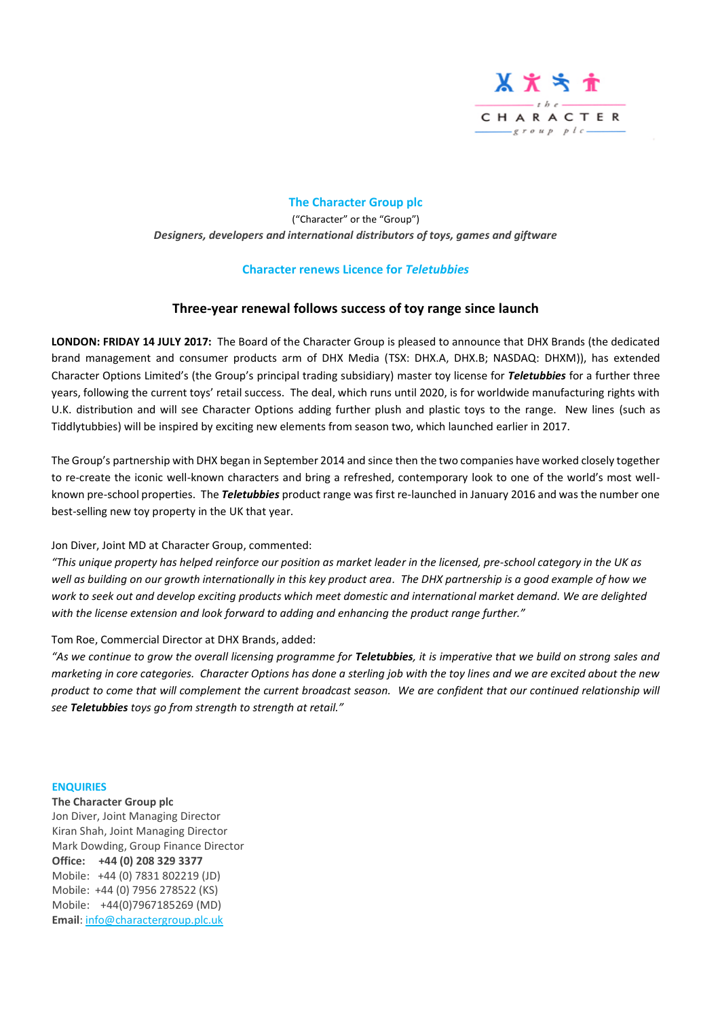

# **The Character Group plc** ("Character" or the "Group") *Designers, developers and international distributors of toys, games and giftware*

## **Character renews Licence for** *Teletubbies*

# **Three-year renewal follows success of toy range since launch**

**LONDON: FRIDAY 14 JULY 2017:** The Board of the Character Group is pleased to announce that DHX Brands (the dedicated brand management and consumer products arm of DHX Media (TSX: DHX.A, DHX.B; NASDAQ: DHXM)), has extended Character Options Limited's (the Group's principal trading subsidiary) master toy license for *Teletubbies* for a further three years, following the current toys' retail success. The deal, which runs until 2020, is for worldwide manufacturing rights with U.K. distribution and will see Character Options adding further plush and plastic toys to the range. New lines (such as Tiddlytubbies) will be inspired by exciting new elements from season two, which launched earlier in 2017.

The Group's partnership with DHX began in September 2014 and since then the two companies have worked closely together to re-create the iconic well-known characters and bring a refreshed, contemporary look to one of the world's most wellknown pre-school properties. The *Teletubbies* product range was first re-launched in January 2016 and was the number one best-selling new toy property in the UK that year.

Jon Diver, Joint MD at Character Group, commented:

*"This unique property has helped reinforce our position as market leader in the licensed, pre-school category in the UK as*  well as building on our growth internationally in this key product area. The DHX partnership is a good example of how we *work to seek out and develop exciting products which meet domestic and international market demand. We are delighted with the license extension and look forward to adding and enhancing the product range further."*

Tom Roe, Commercial Director at DHX Brands, added:

*"As we continue to grow the overall licensing programme for Teletubbies, it is imperative that we build on strong sales and marketing in core categories. Character Options has done a sterling job with the toy lines and we are excited about the new product to come that will complement the current broadcast season. We are confident that our continued relationship will see Teletubbies toys go from strength to strength at retail."*

#### **ENQUIRIES**

**The Character Group plc** Jon Diver, Joint Managing Director Kiran Shah, Joint Managing Director Mark Dowding, Group Finance Director **Office: +44 (0) 208 329 3377** Mobile: +44 (0) 7831 802219 (JD) Mobile: +44 (0) 7956 278522 (KS) Mobile: +44(0)7967185269 (MD) **Email**: [info@charactergroup.plc.uk](mailto:info@charactergroup.plc.uk)